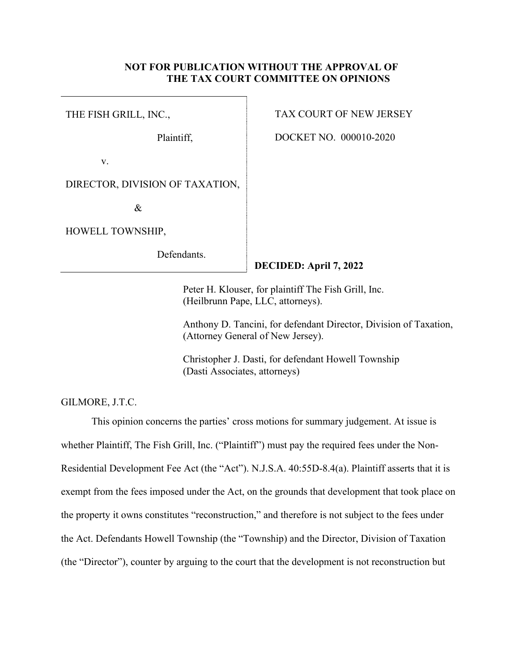## **NOT FOR PUBLICATION WITHOUT THE APPROVAL OF THE TAX COURT COMMITTEE ON OPINIONS**

THE FISH GRILL, INC.,

Plaintiff,

v.

DIRECTOR, DIVISION OF TAXATION,

&

HOWELL TOWNSHIP,

Defendants.

# TAX COURT OF NEW JERSEY

DOCKET NO. 000010-2020

# **DECIDED: April 7, 2022**

Peter H. Klouser, for plaintiff The Fish Grill, Inc. (Heilbrunn Pape, LLC, attorneys).

Anthony D. Tancini, for defendant Director, Division of Taxation, (Attorney General of New Jersey).

Christopher J. Dasti, for defendant Howell Township (Dasti Associates, attorneys)

GILMORE, J.T.C.

This opinion concerns the parties' cross motions for summary judgement. At issue is whether Plaintiff, The Fish Grill, Inc. ("Plaintiff") must pay the required fees under the Non-Residential Development Fee Act (the "Act"). N.J.S.A. 40:55D-8.4(a). Plaintiff asserts that it is exempt from the fees imposed under the Act, on the grounds that development that took place on the property it owns constitutes "reconstruction," and therefore is not subject to the fees under the Act. Defendants Howell Township (the "Township) and the Director, Division of Taxation (the "Director"), counter by arguing to the court that the development is not reconstruction but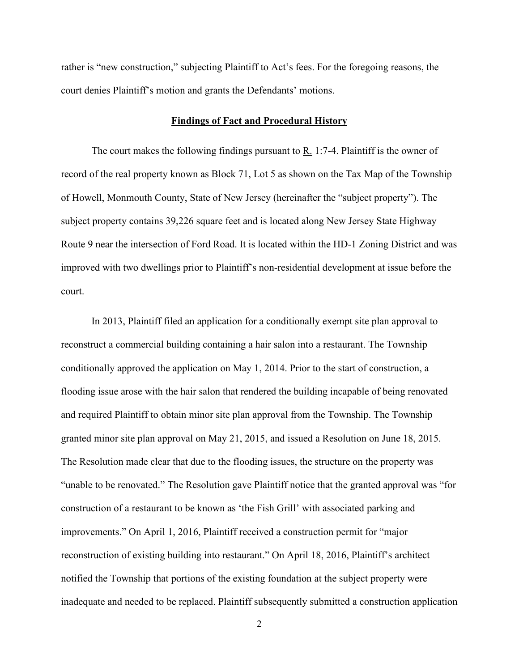rather is "new construction," subjecting Plaintiff to Act's fees. For the foregoing reasons, the court denies Plaintiff's motion and grants the Defendants' motions.

#### **Findings of Fact and Procedural History**

 The court makes the following findings pursuant to R. 1:7-4. Plaintiff is the owner of record of the real property known as Block 71, Lot 5 as shown on the Tax Map of the Township of Howell, Monmouth County, State of New Jersey (hereinafter the "subject property"). The subject property contains 39,226 square feet and is located along New Jersey State Highway Route 9 near the intersection of Ford Road. It is located within the HD-1 Zoning District and was improved with two dwellings prior to Plaintiff's non-residential development at issue before the court.

In 2013, Plaintiff filed an application for a conditionally exempt site plan approval to reconstruct a commercial building containing a hair salon into a restaurant. The Township conditionally approved the application on May 1, 2014. Prior to the start of construction, a flooding issue arose with the hair salon that rendered the building incapable of being renovated and required Plaintiff to obtain minor site plan approval from the Township. The Township granted minor site plan approval on May 21, 2015, and issued a Resolution on June 18, 2015. The Resolution made clear that due to the flooding issues, the structure on the property was "unable to be renovated." The Resolution gave Plaintiff notice that the granted approval was "for construction of a restaurant to be known as 'the Fish Grill' with associated parking and improvements." On April 1, 2016, Plaintiff received a construction permit for "major reconstruction of existing building into restaurant." On April 18, 2016, Plaintiff's architect notified the Township that portions of the existing foundation at the subject property were inadequate and needed to be replaced. Plaintiff subsequently submitted a construction application

2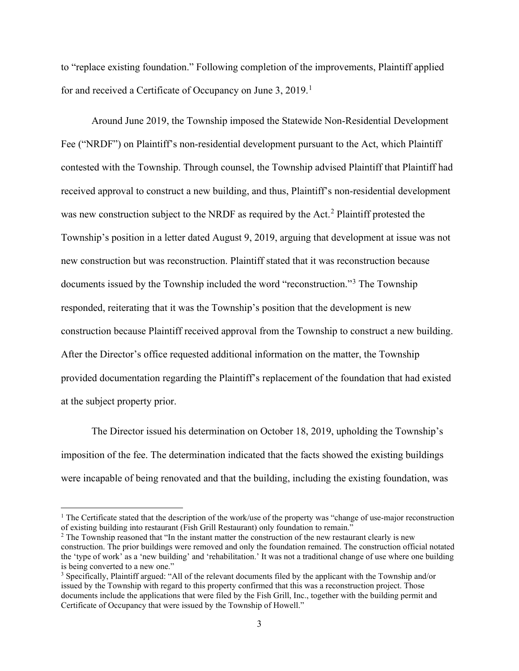to "replace existing foundation." Following completion of the improvements, Plaintiff applied for and received a Certificate of Occupancy on June 3,  $2019$  $2019$  $2019$ .<sup>1</sup>

Around June 2019, the Township imposed the Statewide Non-Residential Development Fee ("NRDF") on Plaintiff's non-residential development pursuant to the Act, which Plaintiff contested with the Township. Through counsel, the Township advised Plaintiff that Plaintiff had received approval to construct a new building, and thus, Plaintiff's non-residential development was new construction subject to the NRDF as required by the Act.<sup>[2](#page-2-1)</sup> Plaintiff protested the Township's position in a letter dated August 9, 2019, arguing that development at issue was not new construction but was reconstruction. Plaintiff stated that it was reconstruction because documents issued by the Township included the word "reconstruction."[3](#page-2-2) The Township responded, reiterating that it was the Township's position that the development is new construction because Plaintiff received approval from the Township to construct a new building. After the Director's office requested additional information on the matter, the Township provided documentation regarding the Plaintiff's replacement of the foundation that had existed at the subject property prior.

The Director issued his determination on October 18, 2019, upholding the Township's imposition of the fee. The determination indicated that the facts showed the existing buildings were incapable of being renovated and that the building, including the existing foundation, was

<span id="page-2-0"></span><sup>&</sup>lt;sup>1</sup> The Certificate stated that the description of the work/use of the property was "change of use-major reconstruction of existing building into restaurant (Fish Grill Restaurant) only foundation to remain."

<span id="page-2-1"></span><sup>&</sup>lt;sup>2</sup> The Township reasoned that "In the instant matter the construction of the new restaurant clearly is new construction. The prior buildings were removed and only the foundation remained. The construction official notated the 'type of work' as a 'new building' and 'rehabilitation.' It was not a traditional change of use where one building is being converted to a new one."

<span id="page-2-2"></span><sup>3</sup> Specifically, Plaintiff argued: "All of the relevant documents filed by the applicant with the Township and/or issued by the Township with regard to this property confirmed that this was a reconstruction project. Those documents include the applications that were filed by the Fish Grill, Inc., together with the building permit and Certificate of Occupancy that were issued by the Township of Howell."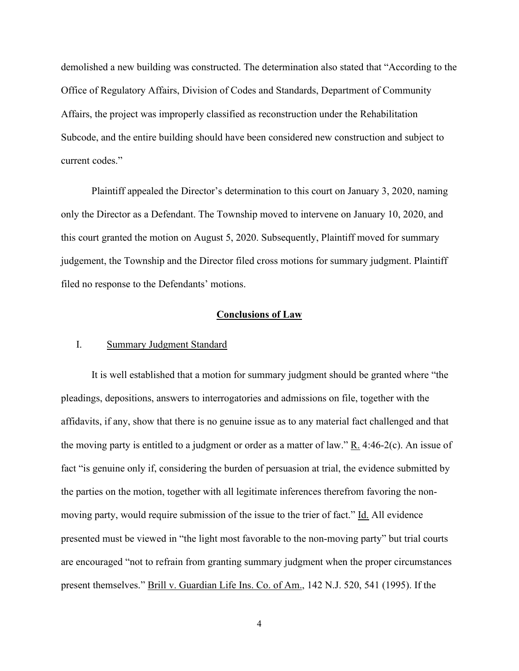demolished a new building was constructed. The determination also stated that "According to the Office of Regulatory Affairs, Division of Codes and Standards, Department of Community Affairs, the project was improperly classified as reconstruction under the Rehabilitation Subcode, and the entire building should have been considered new construction and subject to current codes."

Plaintiff appealed the Director's determination to this court on January 3, 2020, naming only the Director as a Defendant. The Township moved to intervene on January 10, 2020, and this court granted the motion on August 5, 2020. Subsequently, Plaintiff moved for summary judgement, the Township and the Director filed cross motions for summary judgment. Plaintiff filed no response to the Defendants' motions.

### **Conclusions of Law**

## I. Summary Judgment Standard

It is well established that a motion for summary judgment should be granted where "the pleadings, depositions, answers to interrogatories and admissions on file, together with the affidavits, if any, show that there is no genuine issue as to any material fact challenged and that the moving party is entitled to a judgment or order as a matter of law." R. 4:46-2(c). An issue of fact "is genuine only if, considering the burden of persuasion at trial, the evidence submitted by the parties on the motion, together with all legitimate inferences therefrom favoring the nonmoving party, would require submission of the issue to the trier of fact." Id. All evidence presented must be viewed in "the light most favorable to the non-moving party" but trial courts are encouraged "not to refrain from granting summary judgment when the proper circumstances present themselves." Brill v. Guardian Life Ins. Co. of Am., 142 N.J. 520, 541 (1995). If the

4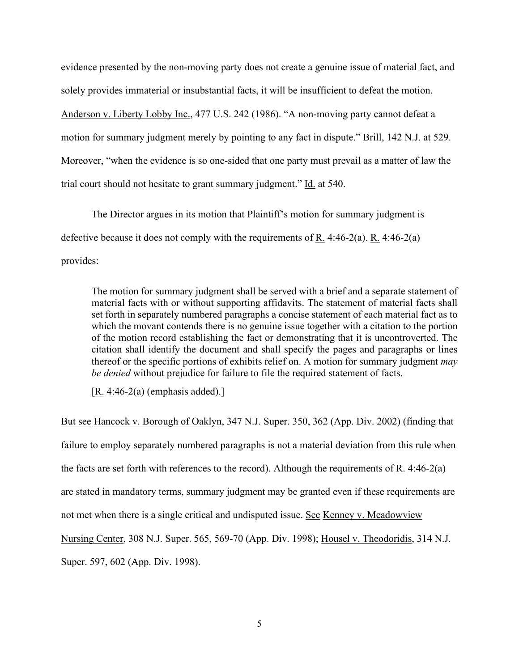evidence presented by the non-moving party does not create a genuine issue of material fact, and solely provides immaterial or insubstantial facts, it will be insufficient to defeat the motion. Anderson v. Liberty Lobby Inc., 477 U.S. 242 (1986). "A non-moving party cannot defeat a motion for summary judgment merely by pointing to any fact in dispute." Brill, 142 N.J. at 529. Moreover, "when the evidence is so one-sided that one party must prevail as a matter of law the trial court should not hesitate to grant summary judgment." Id. at 540.

The Director argues in its motion that Plaintiff's motion for summary judgment is defective because it does not comply with the requirements of R. 4:46-2(a). R. 4:46-2(a) provides:

The motion for summary judgment shall be served with a brief and a separate statement of material facts with or without supporting affidavits. The statement of material facts shall set forth in separately numbered paragraphs a concise statement of each material fact as to which the movant contends there is no genuine issue together with a citation to the portion of the motion record establishing the fact or demonstrating that it is uncontroverted. The citation shall identify the document and shall specify the pages and paragraphs or lines thereof or the specific portions of exhibits relief on. A motion for summary judgment *may be denied* without prejudice for failure to file the required statement of facts.

 $[R. 4:46-2(a)$  (emphasis added).]

But see Hancock v. Borough of Oaklyn, 347 N.J. Super. 350, 362 (App. Div. 2002) (finding that failure to employ separately numbered paragraphs is not a material deviation from this rule when the facts are set forth with references to the record). Although the requirements of R. 4:46-2(a) are stated in mandatory terms, summary judgment may be granted even if these requirements are not met when there is a single critical and undisputed issue. See Kenney v. Meadowview Nursing Center, 308 N.J. Super. 565, 569-70 (App. Div. 1998); Housel v. Theodoridis, 314 N.J. Super. 597, 602 (App. Div. 1998).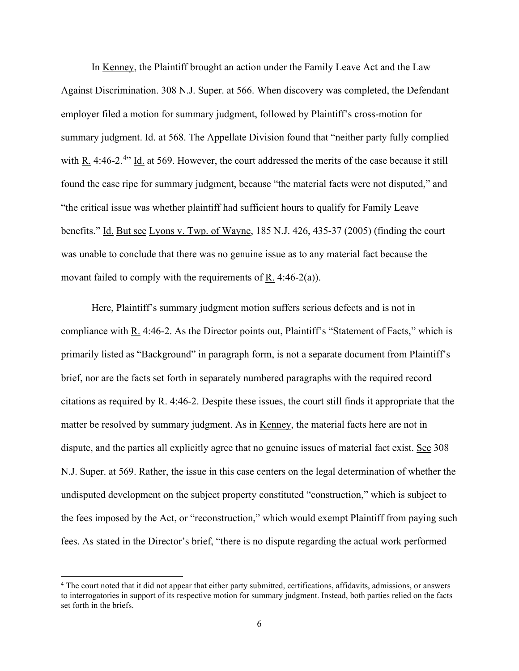In Kenney, the Plaintiff brought an action under the Family Leave Act and the Law Against Discrimination. 308 N.J. Super. at 566. When discovery was completed, the Defendant employer filed a motion for summary judgment, followed by Plaintiff's cross-motion for summary judgment. Id. at 568. The Appellate Division found that "neither party fully complied with  $R_1$ . [4](#page-5-0):46-2.<sup>4</sup> Id. at 569. However, the court addressed the merits of the case because it still found the case ripe for summary judgment, because "the material facts were not disputed," and "the critical issue was whether plaintiff had sufficient hours to qualify for Family Leave benefits." Id. But see Lyons v. Twp. of Wayne, 185 N.J. 426, 435-37 (2005) (finding the court was unable to conclude that there was no genuine issue as to any material fact because the movant failed to comply with the requirements of  $R_1$ . 4:46-2(a)).

Here, Plaintiff's summary judgment motion suffers serious defects and is not in compliance with R. 4:46-2. As the Director points out, Plaintiff's "Statement of Facts," which is primarily listed as "Background" in paragraph form, is not a separate document from Plaintiff's brief, nor are the facts set forth in separately numbered paragraphs with the required record citations as required by R. 4:46-2. Despite these issues, the court still finds it appropriate that the matter be resolved by summary judgment. As in Kenney, the material facts here are not in dispute, and the parties all explicitly agree that no genuine issues of material fact exist. See 308 N.J. Super. at 569. Rather, the issue in this case centers on the legal determination of whether the undisputed development on the subject property constituted "construction," which is subject to the fees imposed by the Act, or "reconstruction," which would exempt Plaintiff from paying such fees. As stated in the Director's brief, "there is no dispute regarding the actual work performed

<span id="page-5-0"></span><sup>4</sup> The court noted that it did not appear that either party submitted, certifications, affidavits, admissions, or answers to interrogatories in support of its respective motion for summary judgment. Instead, both parties relied on the facts set forth in the briefs.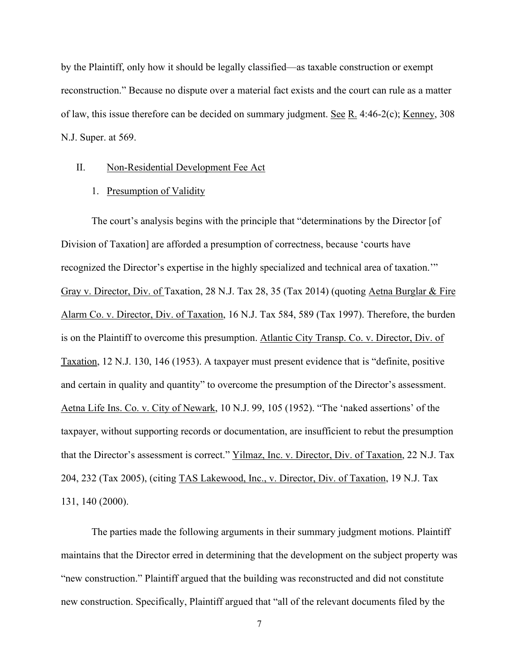by the Plaintiff, only how it should be legally classified—as taxable construction or exempt reconstruction." Because no dispute over a material fact exists and the court can rule as a matter of law, this issue therefore can be decided on summary judgment. See R. 4:46-2(c); Kenney, 308 N.J. Super. at 569.

## II. Non-Residential Development Fee Act

#### 1. Presumption of Validity

The court's analysis begins with the principle that "determinations by the Director [of Division of Taxation] are afforded a presumption of correctness, because 'courts have recognized the Director's expertise in the highly specialized and technical area of taxation.'" Gray v. Director, Div. of Taxation, 28 N.J. Tax 28, 35 (Tax 2014) (quoting Aetna Burglar & Fire Alarm Co. v. Director, Div. of Taxation, 16 N.J. Tax 584, 589 (Tax 1997). Therefore, the burden is on the Plaintiff to overcome this presumption. Atlantic City Transp. Co. v. Director, Div. of Taxation, 12 N.J. 130, 146 (1953). A taxpayer must present evidence that is "definite, positive and certain in quality and quantity" to overcome the presumption of the Director's assessment. Aetna Life Ins. Co. v. City of Newark, 10 N.J. 99, 105 (1952). "The 'naked assertions' of the taxpayer, without supporting records or documentation, are insufficient to rebut the presumption that the Director's assessment is correct." Yilmaz, Inc. v. Director, Div. of Taxation, 22 N.J. Tax 204, 232 (Tax 2005), (citing TAS Lakewood, Inc., v. Director, Div. of Taxation, 19 N.J. Tax 131, 140 (2000).

The parties made the following arguments in their summary judgment motions. Plaintiff maintains that the Director erred in determining that the development on the subject property was "new construction." Plaintiff argued that the building was reconstructed and did not constitute new construction. Specifically, Plaintiff argued that "all of the relevant documents filed by the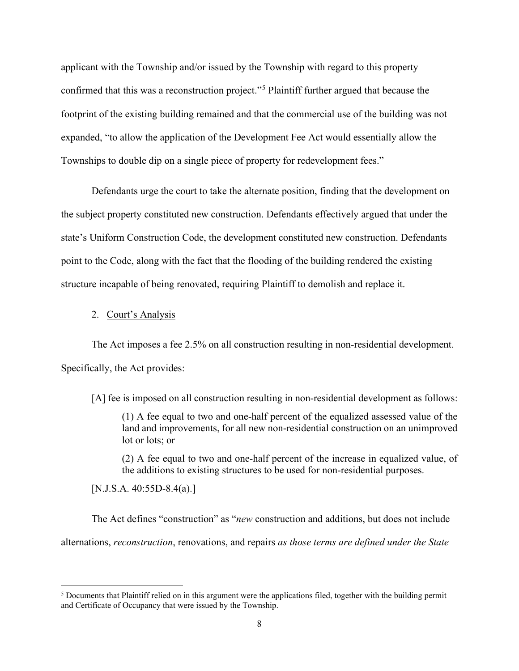applicant with the Township and/or issued by the Township with regard to this property confirmed that this was a reconstruction project."<sup>[5](#page-7-0)</sup> Plaintiff further argued that because the footprint of the existing building remained and that the commercial use of the building was not expanded, "to allow the application of the Development Fee Act would essentially allow the Townships to double dip on a single piece of property for redevelopment fees."

Defendants urge the court to take the alternate position, finding that the development on the subject property constituted new construction. Defendants effectively argued that under the state's Uniform Construction Code, the development constituted new construction. Defendants point to the Code, along with the fact that the flooding of the building rendered the existing structure incapable of being renovated, requiring Plaintiff to demolish and replace it.

#### 2. Court's Analysis

The Act imposes a fee 2.5% on all construction resulting in non-residential development. Specifically, the Act provides:

[A] fee is imposed on all construction resulting in non-residential development as follows:

(1) A fee equal to two and one-half percent of the equalized assessed value of the land and improvements, for all new non-residential construction on an unimproved lot or lots; or

(2) A fee equal to two and one-half percent of the increase in equalized value, of the additions to existing structures to be used for non-residential purposes.

[N.J.S.A. 40:55D-8.4(a).]

The Act defines "construction" as "*new* construction and additions, but does not include alternations, *reconstruction*, renovations, and repairs *as those terms are defined under the State* 

<span id="page-7-0"></span><sup>&</sup>lt;sup>5</sup> Documents that Plaintiff relied on in this argument were the applications filed, together with the building permit and Certificate of Occupancy that were issued by the Township.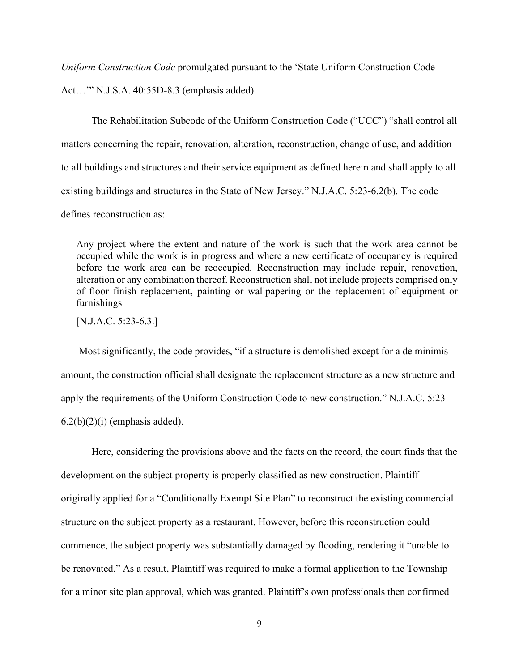*Uniform Construction Code* promulgated pursuant to the 'State Uniform Construction Code

Act…'" N.J.S.A. 40:55D-8.3 (emphasis added).

 The Rehabilitation Subcode of the Uniform Construction Code ("UCC") "shall control all matters concerning the repair, renovation, alteration, reconstruction, change of use, and addition to all buildings and structures and their service equipment as defined herein and shall apply to all existing buildings and structures in the State of New Jersey." N.J.A.C. 5:23-6.2(b). The code defines reconstruction as:

Any project where the extent and nature of the work is such that the work area cannot be occupied while the work is in progress and where a new certificate of occupancy is required before the work area can be reoccupied. Reconstruction may include repair, renovation, alteration or any combination thereof. Reconstruction shall not include projects comprised only of floor finish replacement, painting or wallpapering or the replacement of equipment or furnishings

[N.J.A.C. 5:23-6.3.]

 Most significantly, the code provides, "if a structure is demolished except for a de minimis amount, the construction official shall designate the replacement structure as a new structure and apply the requirements of the Uniform Construction Code to new construction." N.J.A.C. 5:23-  $6.2(b)(2)(i)$  (emphasis added).

 Here, considering the provisions above and the facts on the record, the court finds that the development on the subject property is properly classified as new construction. Plaintiff originally applied for a "Conditionally Exempt Site Plan" to reconstruct the existing commercial structure on the subject property as a restaurant. However, before this reconstruction could commence, the subject property was substantially damaged by flooding, rendering it "unable to be renovated." As a result, Plaintiff was required to make a formal application to the Township for a minor site plan approval, which was granted. Plaintiff's own professionals then confirmed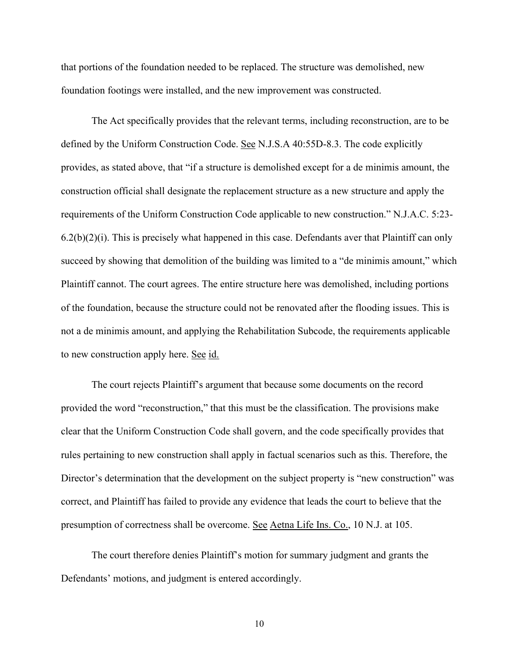that portions of the foundation needed to be replaced. The structure was demolished, new foundation footings were installed, and the new improvement was constructed.

The Act specifically provides that the relevant terms, including reconstruction, are to be defined by the Uniform Construction Code. See N.J.S.A 40:55D-8.3. The code explicitly provides, as stated above, that "if a structure is demolished except for a de minimis amount, the construction official shall designate the replacement structure as a new structure and apply the requirements of the Uniform Construction Code applicable to new construction." N.J.A.C. 5:23-  $6.2(b)(2)(i)$ . This is precisely what happened in this case. Defendants aver that Plaintiff can only succeed by showing that demolition of the building was limited to a "de minimis amount," which Plaintiff cannot. The court agrees. The entire structure here was demolished, including portions of the foundation, because the structure could not be renovated after the flooding issues. This is not a de minimis amount, and applying the Rehabilitation Subcode, the requirements applicable to new construction apply here. See id.

 The court rejects Plaintiff's argument that because some documents on the record provided the word "reconstruction," that this must be the classification. The provisions make clear that the Uniform Construction Code shall govern, and the code specifically provides that rules pertaining to new construction shall apply in factual scenarios such as this. Therefore, the Director's determination that the development on the subject property is "new construction" was correct, and Plaintiff has failed to provide any evidence that leads the court to believe that the presumption of correctness shall be overcome. See Aetna Life Ins. Co., 10 N.J. at 105.

 The court therefore denies Plaintiff's motion for summary judgment and grants the Defendants' motions, and judgment is entered accordingly.

10